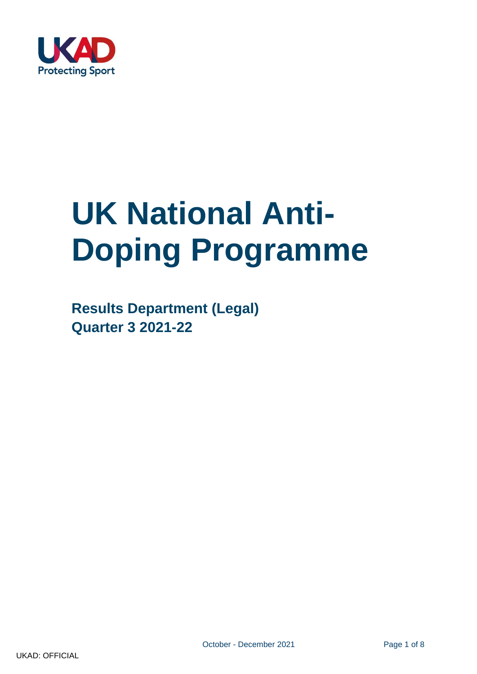

# **UK National Anti-Doping Programme**

**Results Department (Legal) Quarter 3 2021-22**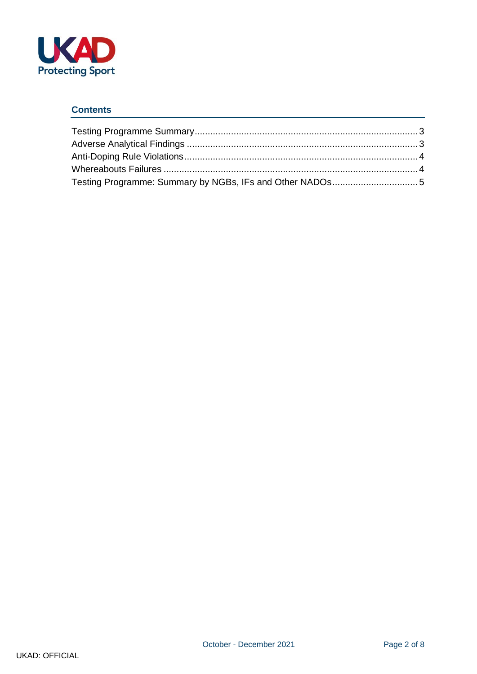

### **Contents**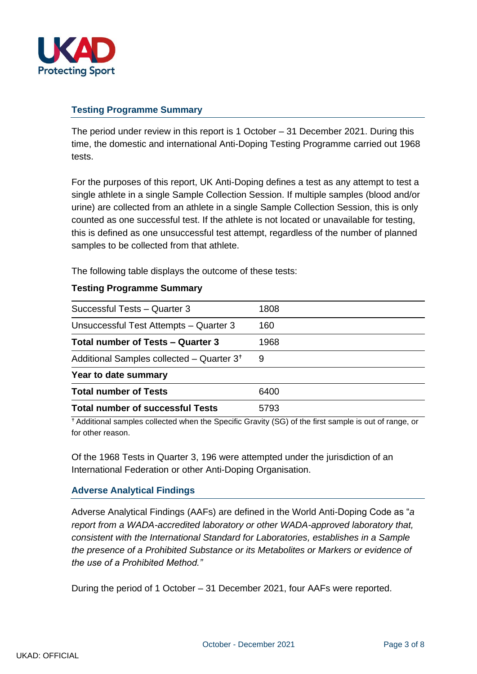

### <span id="page-2-0"></span>**Testing Programme Summary**

The period under review in this report is 1 October – 31 December 2021. During this time, the domestic and international Anti-Doping Testing Programme carried out 1968 tests.

For the purposes of this report, UK Anti-Doping defines a test as any attempt to test a single athlete in a single Sample Collection Session. If multiple samples (blood and/or urine) are collected from an athlete in a single Sample Collection Session, this is only counted as one successful test. If the athlete is not located or unavailable for testing, this is defined as one unsuccessful test attempt, regardless of the number of planned samples to be collected from that athlete.

The following table displays the outcome of these tests:

#### <span id="page-2-1"></span>**Testing Programme Summary**

| Successful Tests - Quarter 3                          | 1808 |
|-------------------------------------------------------|------|
| Unsuccessful Test Attempts - Quarter 3                | 160  |
| Total number of Tests - Quarter 3                     | 1968 |
| Additional Samples collected - Quarter 3 <sup>+</sup> | 9    |
| Year to date summary                                  |      |
| <b>Total number of Tests</b>                          | 6400 |
| <b>Total number of successful Tests</b>               | 5793 |

<sup>+</sup> Additional samples collected when the Specific Gravity (SG) of the first sample is out of range, or for other reason.

Of the 1968 Tests in Quarter 3, 196 were attempted under the jurisdiction of an International Federation or other Anti-Doping Organisation.

## <span id="page-2-2"></span>**Adverse Analytical Findings**

Adverse Analytical Findings (AAFs) are defined in the World Anti-Doping Code as "*a report from a WADA-accredited laboratory or other WADA-approved laboratory that, consistent with the International Standard for Laboratories, establishes in a Sample the presence of a Prohibited Substance or its Metabolites or Markers or evidence of the use of a Prohibited Method."*

During the period of 1 October – 31 December 2021, four AAFs were reported.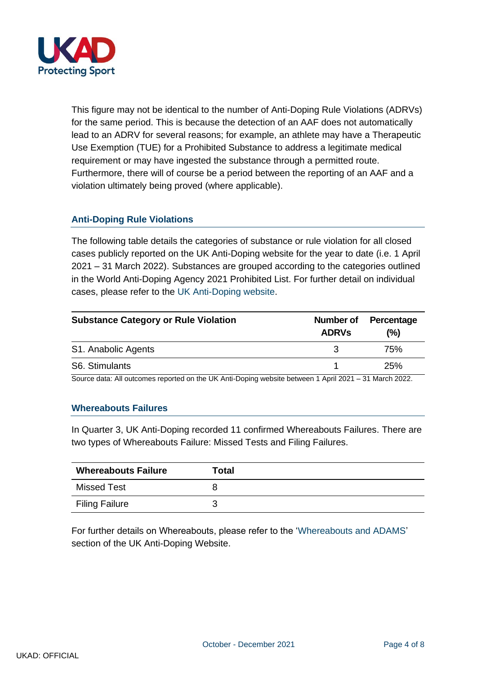

This figure may not be identical to the number of Anti-Doping Rule Violations (ADRVs) for the same period. This is because the detection of an AAF does not automatically lead to an ADRV for several reasons; for example, an athlete may have a Therapeutic Use Exemption (TUE) for a Prohibited Substance to address a legitimate medical requirement or may have ingested the substance through a permitted route. Furthermore, there will of course be a period between the reporting of an AAF and a violation ultimately being proved (where applicable).

# <span id="page-3-0"></span>**Anti-Doping Rule Violations**

The following table details the categories of substance or rule violation for all closed cases publicly reported on the UK Anti-Doping website for the year to date (i.e. 1 April 2021 – 31 March 2022). Substances are grouped according to the categories outlined in the World Anti-Doping Agency 2021 Prohibited List. For further detail on individual cases, please refer to the [UK Anti-Doping website.](http://www.ukad.org.uk/anti-doping-rule-violations/current-violations/)

| <b>Substance Category or Rule Violation</b> | Number of<br><b>ADRVs</b> | Percentage<br>(%) |  |
|---------------------------------------------|---------------------------|-------------------|--|
| S1. Anabolic Agents                         |                           | 75%               |  |
| S6. Stimulants                              |                           | 25%               |  |
| .                                           |                           |                   |  |

Source data: All outcomes reported on the UK Anti-Doping website between 1 April 2021 – 31 March 2022.

#### <span id="page-3-1"></span>**Whereabouts Failures**

In Quarter 3, UK Anti-Doping recorded 11 confirmed Whereabouts Failures. There are two types of Whereabouts Failure: Missed Tests and Filing Failures.

| <b>Whereabouts Failure</b> | Total |
|----------------------------|-------|
| <b>Missed Test</b>         |       |
| <b>Filing Failure</b>      |       |

For further details on Whereabouts, please refer to the ['Whereabouts and ADAMS'](https://www.ukad.org.uk/athletes/whereabouts-and-adams) section of the UK Anti-Doping Website.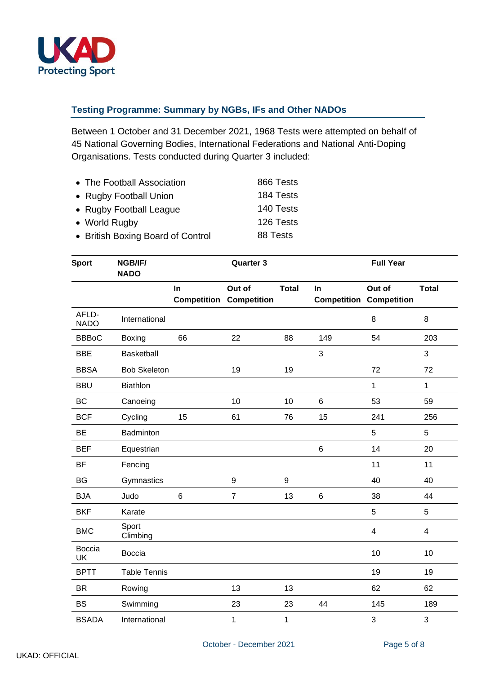

# <span id="page-4-0"></span>**Testing Programme: Summary by NGBs, IFs and Other NADOs**

Between 1 October and 31 December 2021, 1968 Tests were attempted on behalf of 45 National Governing Bodies, International Federations and National Anti-Doping Organisations. Tests conducted during Quarter 3 included:

| • The Football Association        | 866 Tests |
|-----------------------------------|-----------|
| • Rugby Football Union            | 184 Tests |
| • Rugby Football League           | 140 Tests |
| • World Rugby                     | 126 Tests |
| • British Boxing Board of Control | 88 Tests  |

| <b>Sport</b>               | NGB/IF/<br><b>NADO</b> | <b>Quarter 3</b>         |                       |                  | <b>Full Year</b> |                                          |                         |
|----------------------------|------------------------|--------------------------|-----------------------|------------------|------------------|------------------------------------------|-------------------------|
|                            |                        | In<br><b>Competition</b> | Out of<br>Competition | <b>Total</b>     | In               | Out of<br><b>Competition Competition</b> | <b>Total</b>            |
| AFLD-<br><b>NADO</b>       | International          |                          |                       |                  |                  | 8                                        | 8                       |
| <b>BBBoC</b>               | Boxing                 | 66                       | 22                    | 88               | 149              | 54                                       | 203                     |
| <b>BBE</b>                 | Basketball             |                          |                       |                  | 3                |                                          | 3                       |
| <b>BBSA</b>                | <b>Bob Skeleton</b>    |                          | 19                    | 19               |                  | 72                                       | 72                      |
| <b>BBU</b>                 | <b>Biathlon</b>        |                          |                       |                  |                  | 1                                        | $\mathbf{1}$            |
| <b>BC</b>                  | Canoeing               |                          | 10                    | 10               | 6                | 53                                       | 59                      |
| <b>BCF</b>                 | Cycling                | 15                       | 61                    | 76               | 15               | 241                                      | 256                     |
| <b>BE</b>                  | Badminton              |                          |                       |                  |                  | 5                                        | 5                       |
| <b>BEF</b>                 | Equestrian             |                          |                       |                  | 6                | 14                                       | 20                      |
| <b>BF</b>                  | Fencing                |                          |                       |                  |                  | 11                                       | 11                      |
| <b>BG</b>                  | Gymnastics             |                          | $\boldsymbol{9}$      | $\boldsymbol{9}$ |                  | 40                                       | 40                      |
| <b>BJA</b>                 | Judo                   | $6\phantom{1}$           | $\overline{7}$        | 13               | 6                | 38                                       | 44                      |
| <b>BKF</b>                 | Karate                 |                          |                       |                  |                  | 5                                        | 5                       |
| <b>BMC</b>                 | Sport<br>Climbing      |                          |                       |                  |                  | $\overline{\mathbf{4}}$                  | $\overline{\mathbf{4}}$ |
| <b>Boccia</b><br><b>UK</b> | <b>Boccia</b>          |                          |                       |                  |                  | 10                                       | 10                      |
| <b>BPTT</b>                | <b>Table Tennis</b>    |                          |                       |                  |                  | 19                                       | 19                      |
| <b>BR</b>                  | Rowing                 |                          | 13                    | 13               |                  | 62                                       | 62                      |
| <b>BS</b>                  | Swimming               |                          | 23                    | 23               | 44               | 145                                      | 189                     |
| <b>BSADA</b>               | International          |                          | 1                     | $\mathbf{1}$     |                  | 3                                        | 3                       |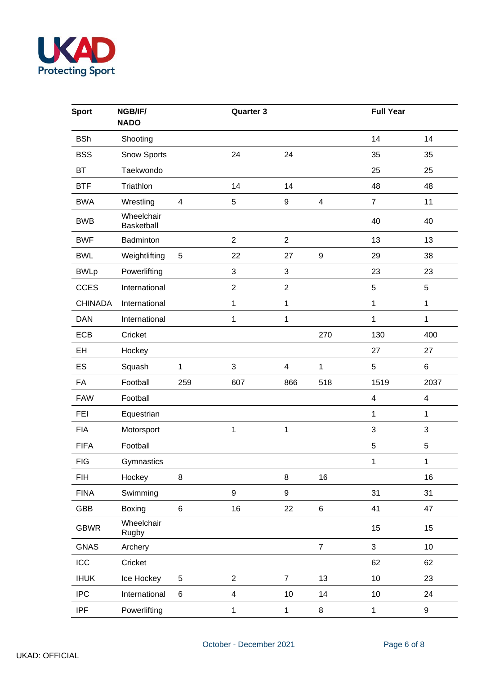

| <b>Sport</b>   | NGB/IF/<br><b>NADO</b>   |                         | Quarter 3                 |                         |                  | <b>Full Year</b>        |                         |
|----------------|--------------------------|-------------------------|---------------------------|-------------------------|------------------|-------------------------|-------------------------|
| <b>BSh</b>     | Shooting                 |                         |                           |                         |                  | 14                      | 14                      |
| <b>BSS</b>     | Snow Sports              |                         | 24                        | 24                      |                  | 35                      | 35                      |
| <b>BT</b>      | Taekwondo                |                         |                           |                         |                  | 25                      | 25                      |
| <b>BTF</b>     | Triathlon                |                         | 14                        | 14                      |                  | 48                      | 48                      |
| <b>BWA</b>     | Wrestling                | $\overline{\mathbf{4}}$ | 5                         | 9                       | 4                | $\overline{7}$          | 11                      |
| <b>BWB</b>     | Wheelchair<br>Basketball |                         |                           |                         |                  | 40                      | 40                      |
| <b>BWF</b>     | Badminton                |                         | $\overline{2}$            | $\overline{2}$          |                  | 13                      | 13                      |
| <b>BWL</b>     | Weightlifting            | 5                       | 22                        | 27                      | $\boldsymbol{9}$ | 29                      | 38                      |
| <b>BWLp</b>    | Powerlifting             |                         | $\ensuremath{\mathsf{3}}$ | 3                       |                  | 23                      | 23                      |
| <b>CCES</b>    | International            |                         | $\overline{2}$            | $\overline{c}$          |                  | $\mathbf 5$             | $\sqrt{5}$              |
| <b>CHINADA</b> | International            |                         | 1                         | 1                       |                  | 1                       | 1                       |
| <b>DAN</b>     | International            |                         | 1                         | 1                       |                  | $\mathbf{1}$            | $\mathbf{1}$            |
| <b>ECB</b>     | Cricket                  |                         |                           |                         | 270              | 130                     | 400                     |
| EH             | Hockey                   |                         |                           |                         |                  | 27                      | 27                      |
| ES             | Squash                   | 1                       | $\sqrt{3}$                | $\overline{\mathbf{4}}$ | 1                | $\sqrt{5}$              | 6                       |
| FA             | Football                 | 259                     | 607                       | 866                     | 518              | 1519                    | 2037                    |
| <b>FAW</b>     | Football                 |                         |                           |                         |                  | $\overline{\mathbf{4}}$ | $\overline{\mathbf{4}}$ |
| <b>FEI</b>     | Equestrian               |                         |                           |                         |                  | 1                       | 1                       |
| <b>FIA</b>     | Motorsport               |                         | 1                         | 1                       |                  | $\mathbf{3}$            | 3                       |
| <b>FIFA</b>    | Football                 |                         |                           |                         |                  | 5                       | 5                       |
| <b>FIG</b>     | Gymnastics               |                         |                           |                         |                  | $\mathbf{1}$            | $\mathbf{1}$            |
| <b>FIH</b>     | Hockey                   | 8                       |                           | 8                       | 16               |                         | 16                      |
| <b>FINA</b>    | Swimming                 |                         | 9                         | 9                       |                  | 31                      | 31                      |
| GBB            | Boxing                   | $\,6\,$                 | 16                        | 22                      | $\,6\,$          | 41                      | 47                      |
| <b>GBWR</b>    | Wheelchair<br>Rugby      |                         |                           |                         |                  | 15                      | 15                      |
| <b>GNAS</b>    | Archery                  |                         |                           |                         | $\overline{7}$   | $\mathfrak{S}$          | 10                      |
| ICC            | Cricket                  |                         |                           |                         |                  | 62                      | 62                      |
| <b>IHUK</b>    | Ice Hockey               | $\,$ 5 $\,$             | $\overline{2}$            | $\overline{7}$          | 13               | 10                      | 23                      |
| <b>IPC</b>     | International            | 6                       | 4                         | 10                      | 14               | 10                      | 24                      |
| <b>IPF</b>     | Powerlifting             |                         | $\mathbf{1}$              | $\mathbf{1}$            | 8                | $\mathbf{1}$            | 9                       |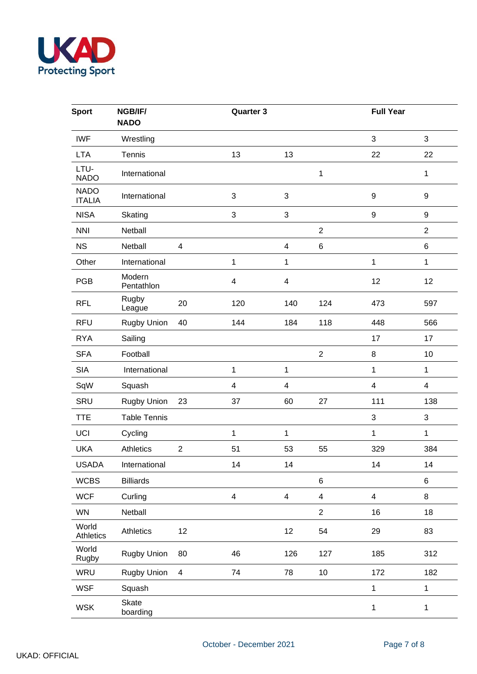

| <b>Sport</b>                 | NGB/IF/<br><b>NADO</b> |                          | Quarter 3               |                           |                         | <b>Full Year</b>          |                          |
|------------------------------|------------------------|--------------------------|-------------------------|---------------------------|-------------------------|---------------------------|--------------------------|
| <b>IWF</b>                   | Wrestling              |                          |                         |                           |                         | 3                         | 3                        |
| <b>LTA</b>                   | Tennis                 |                          | 13                      | 13                        |                         | 22                        | 22                       |
| LTU-<br><b>NADO</b>          | International          |                          |                         |                           | 1                       |                           | 1                        |
| <b>NADO</b><br><b>ITALIA</b> | International          |                          | 3                       | $\mathbf{3}$              |                         | $\boldsymbol{9}$          | 9                        |
| <b>NISA</b>                  | Skating                |                          | 3                       | $\ensuremath{\mathsf{3}}$ |                         | $\boldsymbol{9}$          | $\boldsymbol{9}$         |
| <b>NNI</b>                   | Netball                |                          |                         |                           | $\overline{2}$          |                           | $\overline{2}$           |
| <b>NS</b>                    | Netball                | 4                        |                         | $\overline{\mathbf{4}}$   | $\,6$                   |                           | 6                        |
| Other                        | International          |                          | 1                       | 1                         |                         | 1                         | $\mathbf 1$              |
| <b>PGB</b>                   | Modern<br>Pentathlon   |                          | $\overline{\mathbf{4}}$ | $\overline{\mathbf{4}}$   |                         | 12                        | 12                       |
| <b>RFL</b>                   | Rugby<br>League        | 20                       | 120                     | 140                       | 124                     | 473                       | 597                      |
| <b>RFU</b>                   | Rugby Union            | 40                       | 144                     | 184                       | 118                     | 448                       | 566                      |
| <b>RYA</b>                   | Sailing                |                          |                         |                           |                         | 17                        | 17                       |
| <b>SFA</b>                   | Football               |                          |                         |                           | $\overline{2}$          | $\bf 8$                   | 10                       |
| <b>SIA</b>                   | International          |                          | 1                       | 1                         |                         | 1                         | $\mathbf{1}$             |
| SqW                          | Squash                 |                          | 4                       | $\overline{\mathcal{A}}$  |                         | $\overline{\mathbf{4}}$   | $\overline{\mathcal{A}}$ |
| SRU                          | Rugby Union            | 23                       | 37                      | 60                        | 27                      | 111                       | 138                      |
| <b>TTE</b>                   | <b>Table Tennis</b>    |                          |                         |                           |                         | $\ensuremath{\mathsf{3}}$ | 3                        |
| UCI                          | Cycling                |                          | $\mathbf{1}$            | 1                         |                         | $\mathbf{1}$              | $\mathbf 1$              |
| <b>UKA</b>                   | Athletics              | $\overline{2}$           | 51                      | 53                        | 55                      | 329                       | 384                      |
| USADA                        | International          |                          | 14                      | 14                        |                         | 14                        | 14                       |
| <b>WCBS</b>                  | <b>Billiards</b>       |                          |                         |                           | 6                       |                           | 6                        |
| <b>WCF</b>                   | Curling                |                          | $\overline{\mathbf{4}}$ | $\overline{\mathbf{4}}$   | $\overline{\mathbf{4}}$ | $\overline{\mathbf{4}}$   | 8                        |
| <b>WN</b>                    | Netball                |                          |                         |                           | $\overline{2}$          | 16                        | 18                       |
| World<br>Athletics           | Athletics              | 12                       |                         | 12                        | 54                      | 29                        | 83                       |
| World<br>Rugby               | <b>Rugby Union</b>     | 80                       | 46                      | 126                       | 127                     | 185                       | 312                      |
| WRU                          | <b>Rugby Union</b>     | $\overline{\mathcal{A}}$ | 74                      | 78                        | 10                      | 172                       | 182                      |
| <b>WSF</b>                   | Squash                 |                          |                         |                           |                         | $\mathbf 1$               | $\mathbf 1$              |
| <b>WSK</b>                   | Skate<br>boarding      |                          |                         |                           |                         | $\mathbf{1}$              | $\mathbf 1$              |